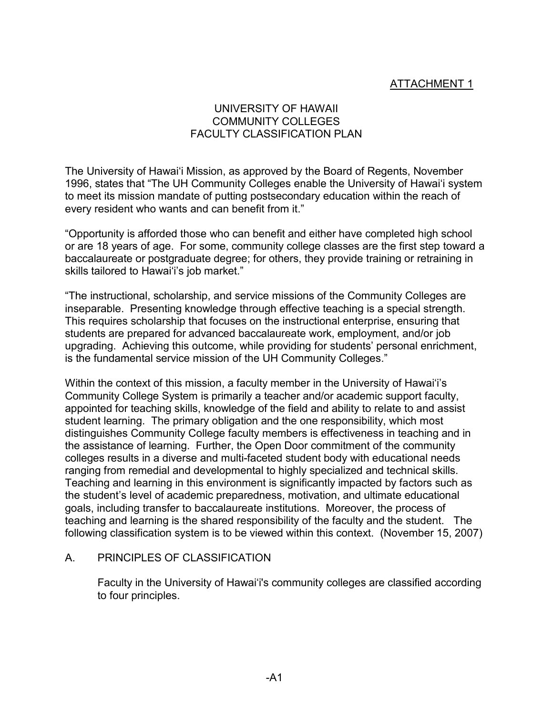# ATTACHMENT 1

## UNIVERSITY OF HAWAII COMMUNITY COLLEGES FACULTY CLASSIFICATION PLAN

The University of Hawai'i Mission, as approved by the Board of Regents, November 1996, states that "The UH Community Colleges enable the University of Hawai'i system to meet its mission mandate of putting postsecondary education within the reach of every resident who wants and can benefit from it."

"Opportunity is afforded those who can benefit and either have completed high school or are 18 years of age. For some, community college classes are the first step toward a baccalaureate or postgraduate degree; for others, they provide training or retraining in skills tailored to Hawai'i's job market."

"The instructional, scholarship, and service missions of the Community Colleges are inseparable. Presenting knowledge through effective teaching is a special strength. This requires scholarship that focuses on the instructional enterprise, ensuring that students are prepared for advanced baccalaureate work, employment, and/or job upgrading. Achieving this outcome, while providing for students' personal enrichment, is the fundamental service mission of the UH Community Colleges."

Within the context of this mission, a faculty member in the University of Hawai'i's Community College System is primarily a teacher and/or academic support faculty, appointed for teaching skills, knowledge of the field and ability to relate to and assist student learning. The primary obligation and the one responsibility, which most distinguishes Community College faculty members is effectiveness in teaching and in the assistance of learning. Further, the Open Door commitment of the community colleges results in a diverse and multi-faceted student body with educational needs ranging from remedial and developmental to highly specialized and technical skills. Teaching and learning in this environment is significantly impacted by factors such as the student's level of academic preparedness, motivation, and ultimate educational goals, including transfer to baccalaureate institutions. Moreover, the process of teaching and learning is the shared responsibility of the faculty and the student. The following classification system is to be viewed within this context. (November 15, 2007)

### A. PRINCIPLES OF CLASSIFICATION

Faculty in the University of Hawai'i's community colleges are classified according to four principles.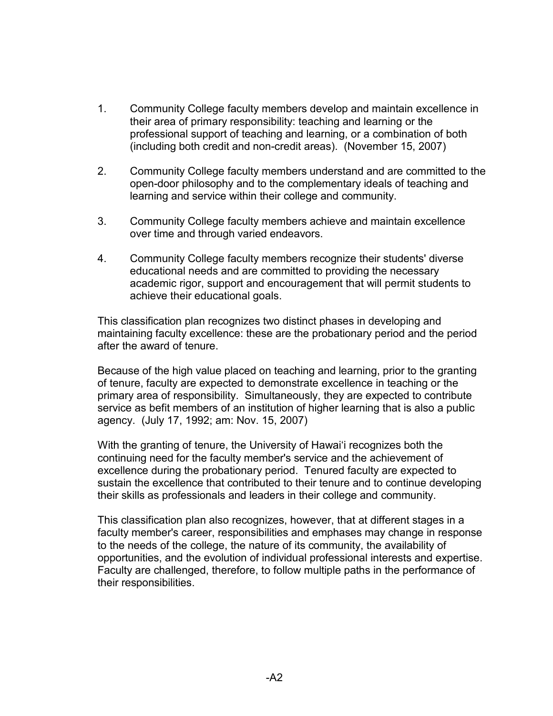- 1. Community College faculty members develop and maintain excellence in their area of primary responsibility: teaching and learning or the professional support of teaching and learning, or a combination of both (including both credit and non-credit areas). (November 15, 2007)
- 2. Community College faculty members understand and are committed to the open-door philosophy and to the complementary ideals of teaching and learning and service within their college and community.
- 3. Community College faculty members achieve and maintain excellence over time and through varied endeavors.
- 4. Community College faculty members recognize their students' diverse educational needs and are committed to providing the necessary academic rigor, support and encouragement that will permit students to achieve their educational goals.

This classification plan recognizes two distinct phases in developing and maintaining faculty excellence: these are the probationary period and the period after the award of tenure.

Because of the high value placed on teaching and learning, prior to the granting of tenure, faculty are expected to demonstrate excellence in teaching or the primary area of responsibility. Simultaneously, they are expected to contribute service as befit members of an institution of higher learning that is also a public agency. (July 17, 1992; am: Nov. 15, 2007)

With the granting of tenure, the University of Hawai'i recognizes both the continuing need for the faculty member's service and the achievement of excellence during the probationary period. Tenured faculty are expected to sustain the excellence that contributed to their tenure and to continue developing their skills as professionals and leaders in their college and community.

This classification plan also recognizes, however, that at different stages in a faculty member's career, responsibilities and emphases may change in response to the needs of the college, the nature of its community, the availability of opportunities, and the evolution of individual professional interests and expertise. Faculty are challenged, therefore, to follow multiple paths in the performance of their responsibilities.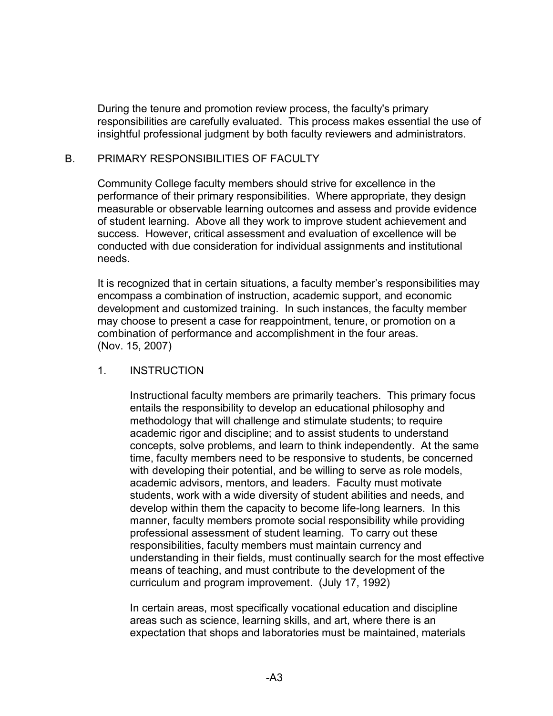During the tenure and promotion review process, the faculty's primary responsibilities are carefully evaluated. This process makes essential the use of insightful professional judgment by both faculty reviewers and administrators.

### B. PRIMARY RESPONSIBILITIES OF FACULTY

Community College faculty members should strive for excellence in the performance of their primary responsibilities. Where appropriate, they design measurable or observable learning outcomes and assess and provide evidence of student learning. Above all they work to improve student achievement and success. However, critical assessment and evaluation of excellence will be conducted with due consideration for individual assignments and institutional needs.

It is recognized that in certain situations, a faculty member's responsibilities may encompass a combination of instruction, academic support, and economic development and customized training. In such instances, the faculty member may choose to present a case for reappointment, tenure, or promotion on a combination of performance and accomplishment in the four areas. (Nov. 15, 2007)

#### 1. INSTRUCTION

Instructional faculty members are primarily teachers. This primary focus entails the responsibility to develop an educational philosophy and methodology that will challenge and stimulate students; to require academic rigor and discipline; and to assist students to understand concepts, solve problems, and learn to think independently. At the same time, faculty members need to be responsive to students, be concerned with developing their potential, and be willing to serve as role models, academic advisors, mentors, and leaders. Faculty must motivate students, work with a wide diversity of student abilities and needs, and develop within them the capacity to become life-long learners. In this manner, faculty members promote social responsibility while providing professional assessment of student learning. To carry out these responsibilities, faculty members must maintain currency and understanding in their fields, must continually search for the most effective means of teaching, and must contribute to the development of the curriculum and program improvement. (July 17, 1992)

In certain areas, most specifically vocational education and discipline areas such as science, learning skills, and art, where there is an expectation that shops and laboratories must be maintained, materials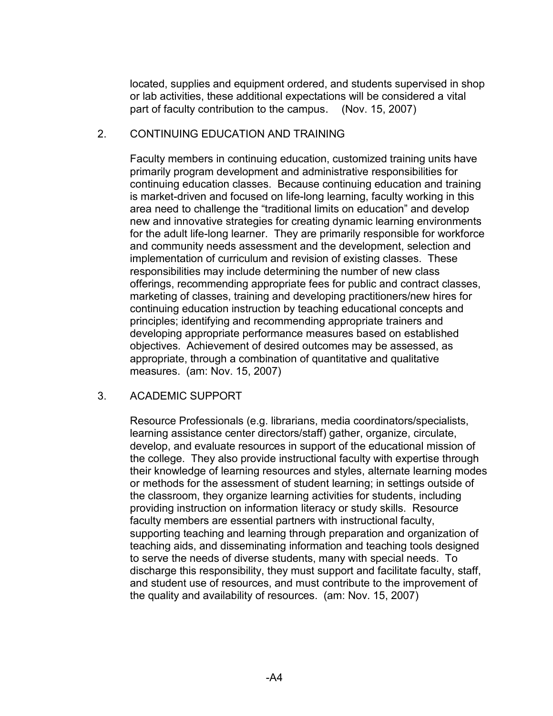located, supplies and equipment ordered, and students supervised in shop or lab activities, these additional expectations will be considered a vital part of faculty contribution to the campus. (Nov. 15, 2007)

## 2. CONTINUING EDUCATION AND TRAINING

Faculty members in continuing education, customized training units have primarily program development and administrative responsibilities for continuing education classes. Because continuing education and training is market-driven and focused on life-long learning, faculty working in this area need to challenge the "traditional limits on education" and develop new and innovative strategies for creating dynamic learning environments for the adult life-long learner. They are primarily responsible for workforce and community needs assessment and the development, selection and implementation of curriculum and revision of existing classes. These responsibilities may include determining the number of new class offerings, recommending appropriate fees for public and contract classes, marketing of classes, training and developing practitioners/new hires for continuing education instruction by teaching educational concepts and principles; identifying and recommending appropriate trainers and developing appropriate performance measures based on established objectives. Achievement of desired outcomes may be assessed, as appropriate, through a combination of quantitative and qualitative measures. (am: Nov. 15, 2007)

## 3. ACADEMIC SUPPORT

Resource Professionals (e.g. librarians, media coordinators/specialists, learning assistance center directors/staff) gather, organize, circulate, develop, and evaluate resources in support of the educational mission of the college. They also provide instructional faculty with expertise through their knowledge of learning resources and styles, alternate learning modes or methods for the assessment of student learning; in settings outside of the classroom, they organize learning activities for students, including providing instruction on information literacy or study skills. Resource faculty members are essential partners with instructional faculty, supporting teaching and learning through preparation and organization of teaching aids, and disseminating information and teaching tools designed to serve the needs of diverse students, many with special needs. To discharge this responsibility, they must support and facilitate faculty, staff, and student use of resources, and must contribute to the improvement of the quality and availability of resources. (am: Nov. 15, 2007)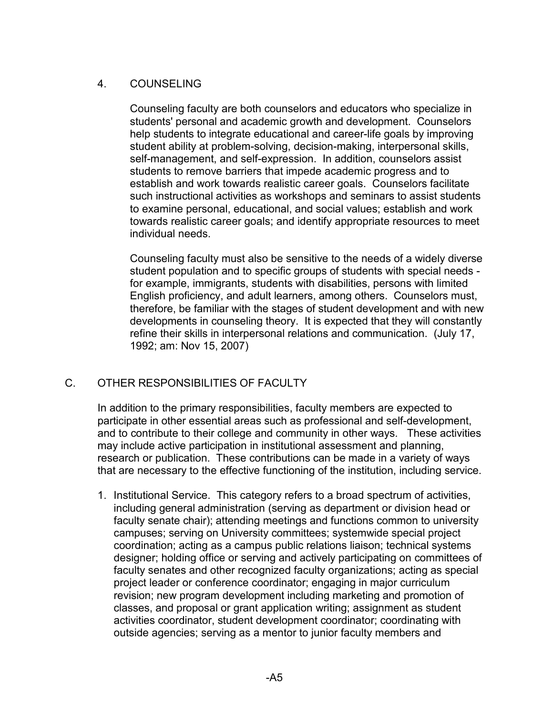## 4. COUNSELING

Counseling faculty are both counselors and educators who specialize in students' personal and academic growth and development. Counselors help students to integrate educational and career-life goals by improving student ability at problem-solving, decision-making, interpersonal skills, self-management, and self-expression. In addition, counselors assist students to remove barriers that impede academic progress and to establish and work towards realistic career goals. Counselors facilitate such instructional activities as workshops and seminars to assist students to examine personal, educational, and social values; establish and work towards realistic career goals; and identify appropriate resources to meet individual needs.

Counseling faculty must also be sensitive to the needs of a widely diverse student population and to specific groups of students with special needs for example, immigrants, students with disabilities, persons with limited English proficiency, and adult learners, among others. Counselors must, therefore, be familiar with the stages of student development and with new developments in counseling theory. It is expected that they will constantly refine their skills in interpersonal relations and communication. (July 17, 1992; am: Nov 15, 2007)

# C. OTHER RESPONSIBILITIES OF FACULTY

In addition to the primary responsibilities, faculty members are expected to participate in other essential areas such as professional and self-development, and to contribute to their college and community in other ways. These activities may include active participation in institutional assessment and planning, research or publication. These contributions can be made in a variety of ways that are necessary to the effective functioning of the institution, including service.

1. Institutional Service. This category refers to a broad spectrum of activities, including general administration (serving as department or division head or faculty senate chair); attending meetings and functions common to university campuses; serving on University committees; systemwide special project coordination; acting as a campus public relations liaison; technical systems designer; holding office or serving and actively participating on committees of faculty senates and other recognized faculty organizations; acting as special project leader or conference coordinator; engaging in major curriculum revision; new program development including marketing and promotion of classes, and proposal or grant application writing; assignment as student activities coordinator, student development coordinator; coordinating with outside agencies; serving as a mentor to junior faculty members and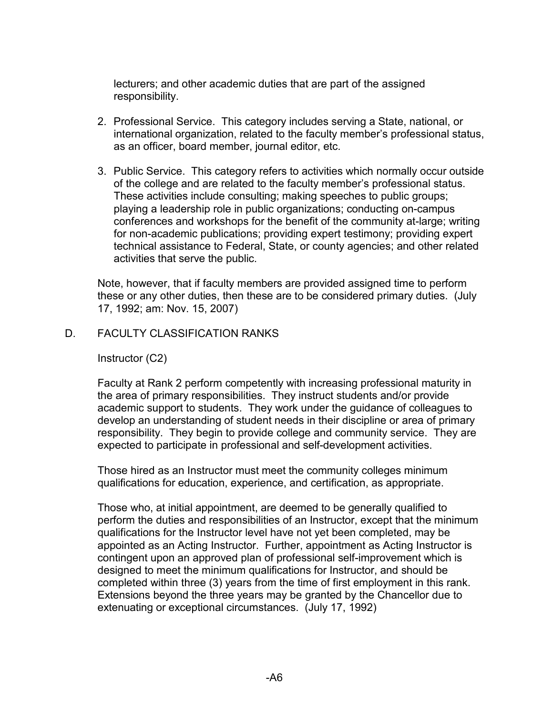lecturers; and other academic duties that are part of the assigned responsibility.

- 2. Professional Service. This category includes serving a State, national, or international organization, related to the faculty member's professional status, as an officer, board member, journal editor, etc.
- 3. Public Service. This category refers to activities which normally occur outside of the college and are related to the faculty member's professional status. These activities include consulting; making speeches to public groups; playing a leadership role in public organizations; conducting on-campus conferences and workshops for the benefit of the community at-large; writing for non-academic publications; providing expert testimony; providing expert technical assistance to Federal, State, or county agencies; and other related activities that serve the public.

Note, however, that if faculty members are provided assigned time to perform these or any other duties, then these are to be considered primary duties. (July 17, 1992; am: Nov. 15, 2007)

D. FACULTY CLASSIFICATION RANKS

Instructor (C2)

Faculty at Rank 2 perform competently with increasing professional maturity in the area of primary responsibilities. They instruct students and/or provide academic support to students. They work under the guidance of colleagues to develop an understanding of student needs in their discipline or area of primary responsibility. They begin to provide college and community service. They are expected to participate in professional and self-development activities.

Those hired as an Instructor must meet the community colleges minimum qualifications for education, experience, and certification, as appropriate.

Those who, at initial appointment, are deemed to be generally qualified to perform the duties and responsibilities of an Instructor, except that the minimum qualifications for the Instructor level have not yet been completed, may be appointed as an Acting Instructor. Further, appointment as Acting Instructor is contingent upon an approved plan of professional self-improvement which is designed to meet the minimum qualifications for Instructor, and should be completed within three (3) years from the time of first employment in this rank. Extensions beyond the three years may be granted by the Chancellor due to extenuating or exceptional circumstances. (July 17, 1992)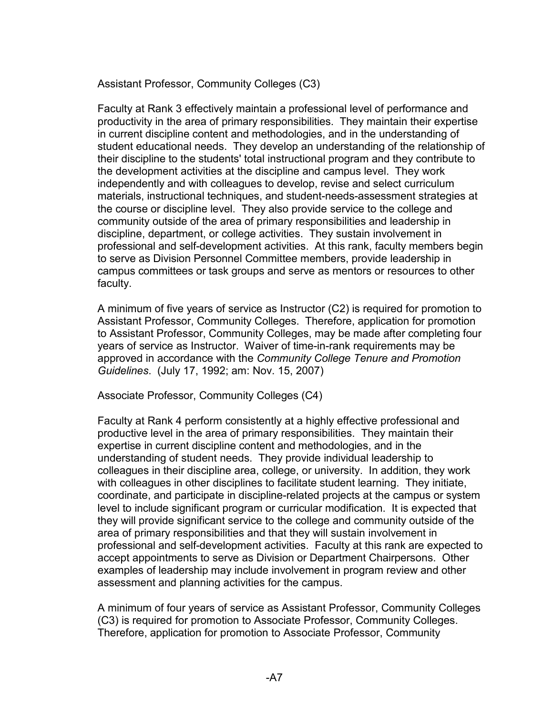Assistant Professor, Community Colleges (C3)

Faculty at Rank 3 effectively maintain a professional level of performance and productivity in the area of primary responsibilities. They maintain their expertise in current discipline content and methodologies, and in the understanding of student educational needs. They develop an understanding of the relationship of their discipline to the students' total instructional program and they contribute to the development activities at the discipline and campus level. They work independently and with colleagues to develop, revise and select curriculum materials, instructional techniques, and student-needs-assessment strategies at the course or discipline level. They also provide service to the college and community outside of the area of primary responsibilities and leadership in discipline, department, or college activities. They sustain involvement in professional and self-development activities. At this rank, faculty members begin to serve as Division Personnel Committee members, provide leadership in campus committees or task groups and serve as mentors or resources to other faculty.

A minimum of five years of service as Instructor (C2) is required for promotion to Assistant Professor, Community Colleges. Therefore, application for promotion to Assistant Professor, Community Colleges, may be made after completing four years of service as Instructor. Waiver of time-in-rank requirements may be approved in accordance with the *Community College Tenure and Promotion Guidelines*. (July 17, 1992; am: Nov. 15, 2007)

Associate Professor, Community Colleges (C4)

Faculty at Rank 4 perform consistently at a highly effective professional and productive level in the area of primary responsibilities. They maintain their expertise in current discipline content and methodologies, and in the understanding of student needs. They provide individual leadership to colleagues in their discipline area, college, or university. In addition, they work with colleagues in other disciplines to facilitate student learning. They initiate, coordinate, and participate in discipline-related projects at the campus or system level to include significant program or curricular modification. It is expected that they will provide significant service to the college and community outside of the area of primary responsibilities and that they will sustain involvement in professional and self-development activities. Faculty at this rank are expected to accept appointments to serve as Division or Department Chairpersons. Other examples of leadership may include involvement in program review and other assessment and planning activities for the campus.

A minimum of four years of service as Assistant Professor, Community Colleges (C3) is required for promotion to Associate Professor, Community Colleges. Therefore, application for promotion to Associate Professor, Community